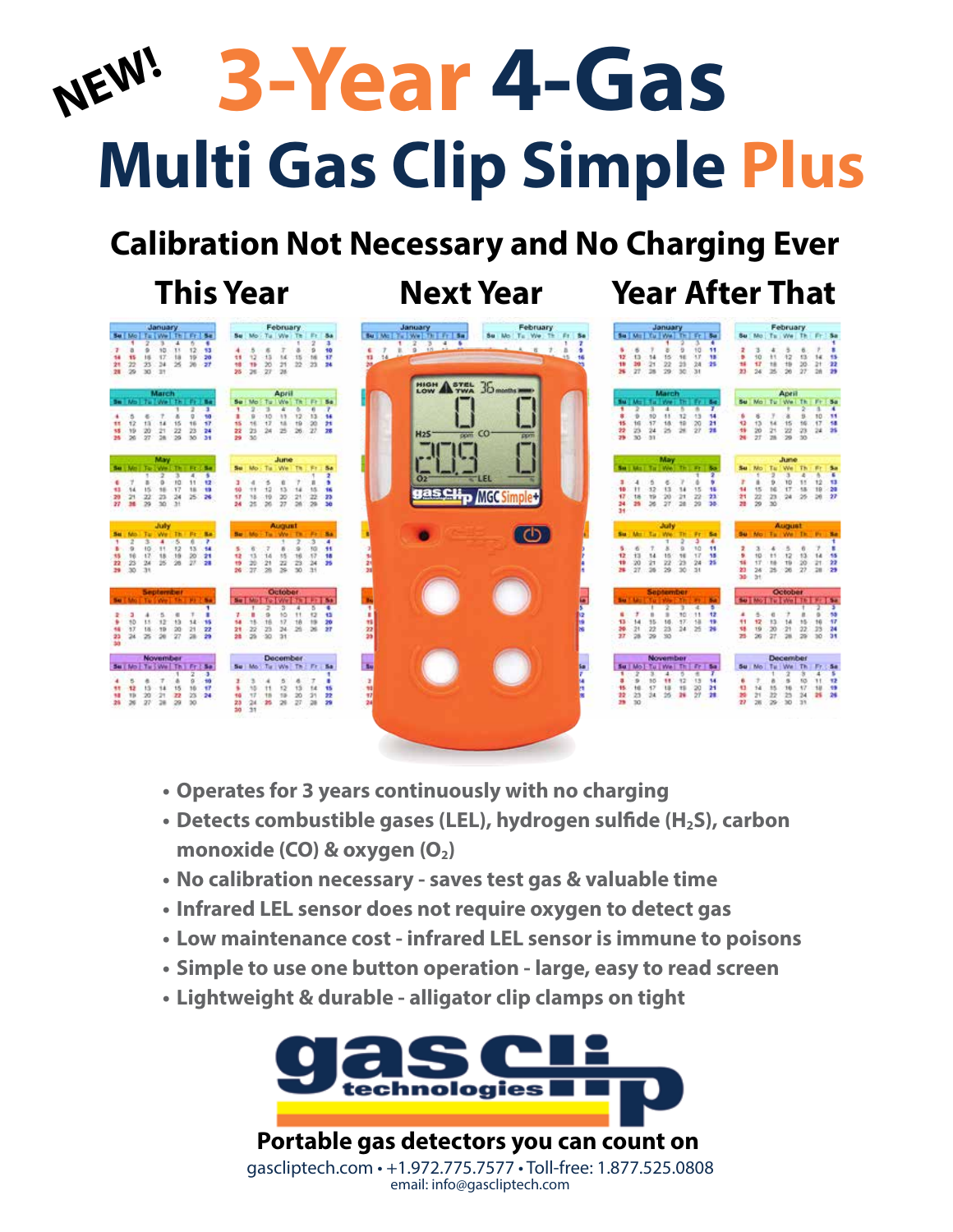# **Multi Gas Clip Simple Plus NEW! 3-Year 4-Gas**

# **Calibration Not Necessary and No Charging Ever**

### **This Year Next Year Year After That**



- **• Operates for 3 years continuously with no charging**
- Detects combustible gases (LEL), hydrogen sulfide (H<sub>2</sub>S), carbon monoxide (CO) & oxygen (O<sub>2</sub>)
- **• No calibration necessary saves test gas & valuable time**
- **• Infrared LEL sensor does not require oxygen to detect gas**
- **• Low maintenance cost infrared LEL sensor is immune to poisons**
- **• Simple to use one button operation large, easy to read screen**
- **• Lightweight & durable alligator clip clamps on tight**